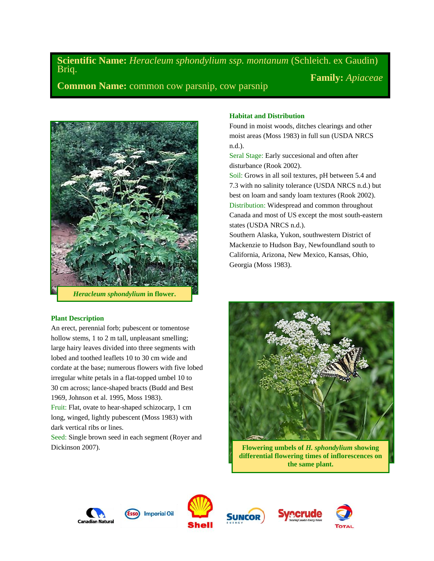**Scientific Name:** *Heracleum sphondylium ssp. montanum* (Schleich. ex Gaudin) Briq.

**Common Name:** common cow parsnip, cow parsnip



# **Plant Description**

An erect, perennial forb; pubescent or tomentose hollow stems, 1 to 2 m tall, unpleasant smelling; large hairy leaves divided into three segments with lobed and toothed leaflets 10 to 30 cm wide and cordate at the base; numerous flowers with five lobed irregular white petals in a flat-topped umbel 10 to 30 cm across; lance-shaped bracts (Budd and Best 1969, Johnson et al. 1995, Moss 1983).

Fruit: Flat, ovate to hear-shaped schizocarp, 1 cm long, winged, lightly pubescent (Moss 1983) with dark vertical ribs or lines.

Seed: Single brown seed in each segment (Royer and Dickinson 2007).

# **Habitat and Distribution**

Found in moist woods, ditches clearings and other moist areas (Moss 1983) in full sun (USDA NRCS n.d.).

Seral Stage: Early succesional and often after disturbance (Rook 2002).

Soil: Grows in all soil textures, pH between 5.4 and 7.3 with no salinity tolerance (USDA NRCS n.d.) but best on loam and sandy loam textures (Rook 2002). Distribution: Widespread and common throughout Canada and most of US except the most south-eastern states (USDA NRCS n.d.).

Southern Alaska, Yukon, southwestern District of Mackenzie to Hudson Bay, Newfoundland south to California, Arizona, New Mexico, Kansas, Ohio, Georgia (Moss 1983).



**Flowering umbels of** *H. sphondylium* **showing differential flowering times of inflorescences on the same plant.**







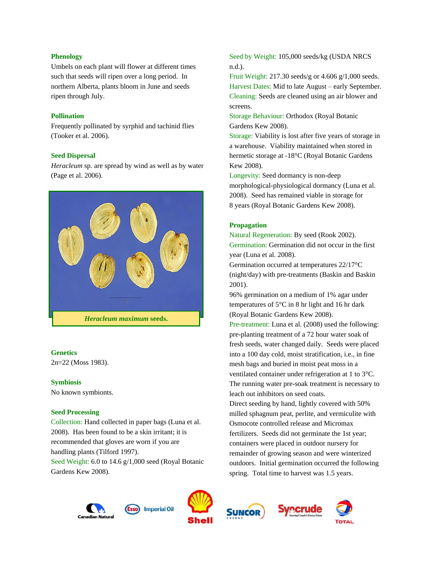# **Phenology**

Umbels on each plant will flower at different times such that seeds will ripen over a long period. In northern Alberta, plants bloom in June and seeds ripen through July.

# **Pollination**

Frequently pollinated by syrphid and tachinid flies (Tooker et al. 2006).

# **Seed Dispersal**

*Heracleum* sp. are spread by wind as well as by water (Page et al. 2006).



### **Genetics**

2n=22 (Moss 1983).

### **Symbiosis**

No known symbionts.

### **Seed Processing**

Collection: Hand collected in paper bags (Luna et al. 2008). Has been found to be a skin irritant; it is recommended that gloves are worn if you are handling plants (Tilford 1997). Seed Weight: 6.0 to 14.6 g/1,000 seed (Royal Botanic Gardens Kew 2008).

# Seed by Weight: 105,000 seeds/kg (USDA NRCS n.d.).

Fruit Weight: 217.30 seeds/g or 4.606 g/1,000 seeds. Harvest Dates: Mid to late August – early September. Cleaning: Seeds are cleaned using an air blower and screens.

Storage Behaviour: Orthodox (Royal Botanic Gardens Kew 2008).

Storage: Viability is lost after five years of storage in a warehouse. Viability maintained when stored in hermetic storage at -18°C (Royal Botanic Gardens Kew 2008).

Longevity: Seed dormancy is non-deep morphological-physiological dormancy (Luna et al. 2008). Seed has remained viable in storage for 8 years (Royal Botanic Gardens Kew 2008).

# **Propagation**

Natural Regeneration: By seed (Rook 2002). Germination: Germination did not occur in the first year (Luna et al. 2008).

Germination occurred at temperatures 22/17°C (night/day) with pre-treatments (Baskin and Baskin 2001).

96% germination on a medium of 1% agar under temperatures of 5°C in 8 hr light and 16 hr dark (Royal Botanic Gardens Kew 2008).

Pre-treatment: Luna et al. (2008) used the following: pre-planting treatment of a 72 hour water soak of fresh seeds, water changed daily. Seeds were placed into a 100 day cold, moist stratification, i.e., in fine mesh bags and buried in moist peat moss in a ventilated container under refrigeration at 1 to 3°C. The running water pre-soak treatment is necessary to leach out inhibitors on seed coats.

Direct seeding by hand, lightly covered with 50% milled sphagnum peat, perlite, and vermiculite with Osmocote controlled release and Micromax fertilizers. Seeds did not germinate the 1st year; containers were placed in outdoor nursery for remainder of growing season and were winterized outdoors. Initial germination occurred the following spring. Total time to harvest was 1.5 years.







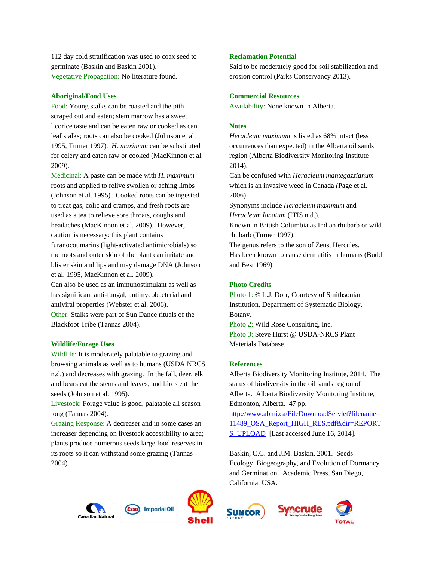112 day cold stratification was used to coax seed to germinate (Baskin and Baskin 2001). Vegetative Propagation: No literature found.

#### **Aboriginal/Food Uses**

Food: Young stalks can be roasted and the pith scraped out and eaten; stem marrow has a sweet licorice taste and can be eaten raw or cooked as can leaf stalks; roots can also be cooked (Johnson et al. 1995, Turner 1997). *H. maximum* can be substituted for celery and eaten raw or cooked (MacKinnon et al. 2009).

Medicinal: A paste can be made with *H. maximum* roots and applied to relive swollen or aching limbs (Johnson et al. 1995). Cooked roots can be ingested to treat gas, colic and cramps, and fresh roots are used as a tea to relieve sore throats, coughs and headaches (MacKinnon et al. 2009). However, caution is necessary: this plant contains furanocoumarins (light-activated antimicrobials) so the roots and outer skin of the plant can irritate and blister skin and lips and may damage DNA (Johnson et al. 1995, MacKinnon et al. 2009). Can also be used as an immunostimulant as well as has significant anti-fungal, antimycobacterial and antiviral properties (Webster et al. 2006). Other: Stalks were part of Sun Dance rituals of the Blackfoot Tribe (Tannas 2004).

#### **Wildlife/Forage Uses**

Wildlife: It is moderately palatable to grazing and browsing animals as well as to humans (USDA NRCS n.d.) and decreases with grazing. In the fall, deer, elk and bears eat the stems and leaves, and birds eat the seeds (Johnson et al. 1995).

Livestock: Forage value is good, palatable all season long (Tannas 2004).

Grazing Response: A decreaser and in some cases an increaser depending on livestock accessibility to area; plants produce numerous seeds large food reserves in its roots so it can withstand some grazing (Tannas 2004).

## **Reclamation Potential**

Said to be moderately good for soil stabilization and erosion control (Parks Conservancy 2013).

#### **Commercial Resources**

Availability: None known in Alberta.

#### **Notes**

*Heracleum maximum* is listed as 68% intact (less occurrences than expected) in the Alberta oil sands region (Alberta Biodiversity Monitoring Institute 2014).

Can be confused with *Heracleum mantegazzianum*  which is an invasive weed in Canada *(*Page et al. 2006).

Synonyms include *Heracleum maximum* and *Heracleum lanatum* (ITIS n.d.).

Known in British Columbia as Indian rhubarb or wild rhubarb (Turner 1997).

The genus refers to the son of Zeus, Hercules. Has been known to cause dermatitis in humans (Budd and Best 1969).

# **Photo Credits**

Photo 1: © L.J. Dorr, Courtesy of Smithsonian Institution, Department of Systematic Biology, Botany.

Photo 2: Wild Rose Consulting, Inc. Photo 3: Steve Hurst @ USDA-NRCS Plant Materials Database.

## **References**

Alberta Biodiversity Monitoring Institute, 2014. The status of biodiversity in the oil sands region of Alberta. Alberta Biodiversity Monitoring Institute, Edmonton, Alberta. 47 pp. [http://www.abmi.ca/FileDownloadServlet?filename=](http://www.abmi.ca/FileDownloadServlet?filename=11489_OSA_Report_HIGH_RES.pdf&dir=REPORTS_UPLOAD) [11489\\_OSA\\_Report\\_HIGH\\_RES.pdf&dir=REPORT](http://www.abmi.ca/FileDownloadServlet?filename=11489_OSA_Report_HIGH_RES.pdf&dir=REPORTS_UPLOAD) [S\\_UPLOAD](http://www.abmi.ca/FileDownloadServlet?filename=11489_OSA_Report_HIGH_RES.pdf&dir=REPORTS_UPLOAD) [Last accessed June 16, 2014].

Baskin, C.C. and J.M. Baskin, 2001. Seeds – Ecology, Biogeography, and Evolution of Dormancy and Germination. Academic Press, San Diego, California, USA.







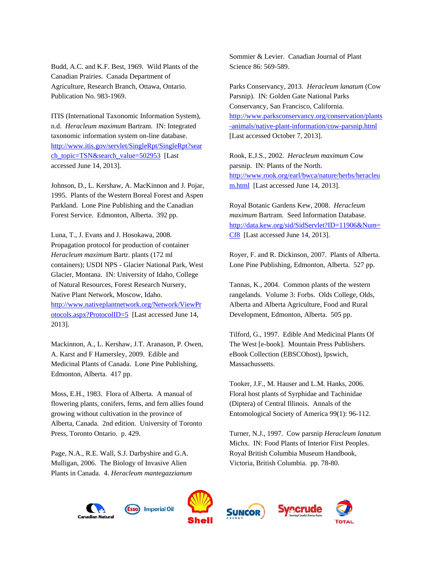Budd, A.C. and K.F. Best, 1969. Wild Plants of the Canadian Prairies. Canada Department of Agriculture, Research Branch, Ottawa, Ontario. Publication No. 983-1969.

ITIS (International Taxonomic Information System), n.d. *Heracleum maximum* Bartram. IN: Integrated taxonomic information system on-line database. [http://www.itis.gov/servlet/SingleRpt/SingleRpt?sear](http://www.itis.gov/servlet/SingleRpt/SingleRpt?search_topic=TSN&search_value=502953) [ch\\_topic=TSN&search\\_value=502953](http://www.itis.gov/servlet/SingleRpt/SingleRpt?search_topic=TSN&search_value=502953) [Last accessed June 14, 2013].

Johnson, D., L. Kershaw, A. MacKinnon and J. Pojar, 1995. Plants of the Western Boreal Forest and Aspen Parkland. Lone Pine Publishing and the Canadian Forest Service. Edmonton, Alberta. 392 pp.

Luna, T., J. Evans and J. Hosokawa, 2008. Propagation protocol for production of container *Heracleum maximum* Bartr. plants (172 ml containers); USDI NPS - Glacier National Park, West Glacier, Montana. IN: University of Idaho, College of Natural Resources, Forest Research Nursery, Native Plant Network, Moscow, Idaho. [http://www.nativeplantnetwork.org/Network/ViewPr](http://www.nativeplantnetwork.org/Network/ViewProtocols.aspx?ProtocolID=5) [otocols.aspx?ProtocolID=5](http://www.nativeplantnetwork.org/Network/ViewProtocols.aspx?ProtocolID=5) [Last accessed June 14, 2013].

Mackinnon, A., L. Kershaw, J.T. Aranason, P. Owen, A. Karst and F Hamersley, 2009. Edible and Medicinal Plants of Canada. Lone Pine Publishing, Edmonton, Alberta. 417 pp.

Moss, E.H., 1983. Flora of Alberta. A manual of flowering plants, conifers, ferns, and fern allies found growing without cultivation in the province of Alberta, Canada. 2nd edition. University of Toronto Press, Toronto Ontario. p. 429.

Page, N.A., R.E. Wall, S.J. Darbyshire and G.A. Mulligan, 2006. The Biology of Invasive Alien Plants in Canada. 4. *Heracleum mantegazzianum* Sommier & Levier. Canadian Journal of Plant Science 86: 569-589.

Parks Conservancy, 2013. *Heracleum lanatum* (Cow Parsnip). IN: Golden Gate National Parks Conservancy, San Francisco, California. [http://www.parksconservancy.org/conservation/plants](http://www.parksconservancy.org/conservation/plants-animals/native-plant-information/cow-parsnip.html) [-animals/native-plant-information/cow-parsnip.html](http://www.parksconservancy.org/conservation/plants-animals/native-plant-information/cow-parsnip.html) [Last accessed October 7, 2013].

Rook, E.J.S., 2002. *Heracleum maximum* Cow parsnip. IN: Plants of the North. [http://www.rook.org/earl/bwca/nature/herbs/heracleu](http://www.rook.org/earl/bwca/nature/herbs/heracleum.html) [m.html](http://www.rook.org/earl/bwca/nature/herbs/heracleum.html) [Last accessed June 14, 2013].

Royal Botanic Gardens Kew, 2008. *Heracleum maximum* Bartram. Seed Information Database. [http://data.kew.org/sid/SidServlet?ID=11906&Num=](http://data.kew.org/sid/SidServlet?ID=11906&Num=Cf8) [Cf8](http://data.kew.org/sid/SidServlet?ID=11906&Num=Cf8) [Last accessed June 14, 2013].

Royer, F. and R. Dickinson, 2007. Plants of Alberta. Lone Pine Publishing, Edmonton, Alberta. 527 pp.

Tannas, K., 2004. Common plants of the western rangelands. Volume 3: Forbs. Olds College, Olds, Alberta and Alberta Agriculture, Food and Rural Development, Edmonton, Alberta. 505 pp.

Tilford, G., 1997. Edible And Medicinal Plants Of The West [e-book]. Mountain Press Publishers. eBook Collection (EBSCOhost), Ipswich, Massachussetts.

Tooker, J.F., M. Hauser and L.M. Hanks, 2006. Floral host plants of Syrphidae and Tachinidae (Diptera) of Central Illinois. Annals of the Entomological Society of America 99(1): 96-112.

Turner, N.J., 1997. Cow parsnip *Heracleum lanatum* Michx. IN: Food Plants of Interior First Peoples. Royal British Columbia Museum Handbook, Victoria, British Columbia. pp. 78-80.